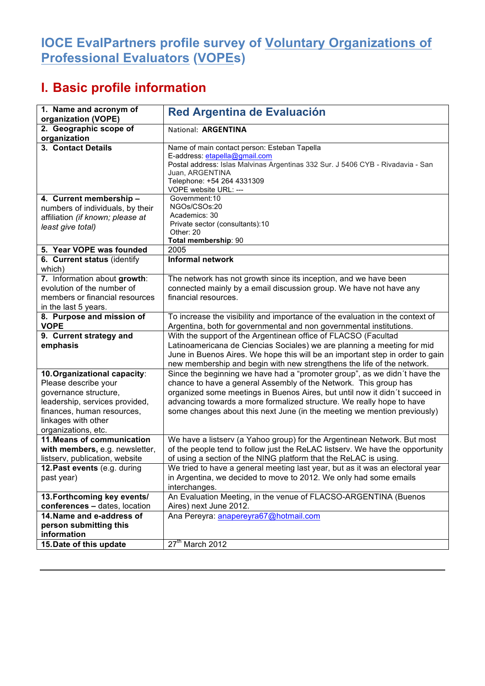## **IOCE EvalPartners profile survey of Voluntary Organizations of Professional Evaluators (VOPEs)**

## **I. Basic profile information**

| 1. Name and acronym of<br>organization (VOPE)                                                                                                                                               | <b>Red Argentina de Evaluación</b>                                                                                                                                                                                                                                                                                                                                                |
|---------------------------------------------------------------------------------------------------------------------------------------------------------------------------------------------|-----------------------------------------------------------------------------------------------------------------------------------------------------------------------------------------------------------------------------------------------------------------------------------------------------------------------------------------------------------------------------------|
| 2. Geographic scope of<br>organization                                                                                                                                                      | National: ARGENTINA                                                                                                                                                                                                                                                                                                                                                               |
| 3. Contact Details                                                                                                                                                                          | Name of main contact person: Esteban Tapella<br>E-address: etapella@gmail.com<br>Postal address: Islas Malvinas Argentinas 332 Sur. J 5406 CYB - Rivadavia - San<br>Juan, ARGENTINA<br>Telephone: +54 264 4331309<br>VOPE website URL: ---                                                                                                                                        |
| 4. Current membership -<br>numbers of individuals, by their<br>affiliation (if known; please at<br>least give total)                                                                        | Government: 10<br>NGOs/CSOs:20<br>Academics: 30<br>Private sector (consultants):10<br>Other: 20<br>Total membership: 90                                                                                                                                                                                                                                                           |
| 5. Year VOPE was founded                                                                                                                                                                    | 2005                                                                                                                                                                                                                                                                                                                                                                              |
| 6. Current status (identify<br>which)                                                                                                                                                       | Informal network                                                                                                                                                                                                                                                                                                                                                                  |
| 7. Information about growth:<br>evolution of the number of<br>members or financial resources<br>in the last 5 years.                                                                        | The network has not growth since its inception, and we have been<br>connected mainly by a email discussion group. We have not have any<br>financial resources.                                                                                                                                                                                                                    |
| 8. Purpose and mission of<br><b>VOPE</b>                                                                                                                                                    | To increase the visibility and importance of the evaluation in the context of<br>Argentina, both for governmental and non governmental institutions.                                                                                                                                                                                                                              |
| 9. Current strategy and<br>emphasis                                                                                                                                                         | With the support of the Argentinean office of FLACSO (Facultad<br>Latinoamericana de Ciencias Sociales) we are planning a meeting for mid<br>June in Buenos Aires. We hope this will be an important step in order to gain<br>new membership and begin with new strengthens the life of the network.                                                                              |
| 10. Organizational capacity:<br>Please describe your<br>governance structure,<br>leadership, services provided,<br>finances, human resources,<br>linkages with other<br>organizations, etc. | Since the beginning we have had a "promoter group", as we didn't have the<br>chance to have a general Assembly of the Network. This group has<br>organized some meetings in Buenos Aires, but until now it didn't succeed in<br>advancing towards a more formalized structure. We really hope to have<br>some changes about this next June (in the meeting we mention previously) |
| 11. Means of communication<br>with members, e.g. newsletter,<br>listserv, publication, website                                                                                              | We have a listserv (a Yahoo group) for the Argentinean Network. But most<br>of the people tend to follow just the ReLAC listserv. We have the opportunity<br>of using a section of the NING platform that the ReLAC is using.                                                                                                                                                     |
| 12. Past events (e.g. during<br>past year)                                                                                                                                                  | We tried to have a general meeting last year, but as it was an electoral year<br>in Argentina, we decided to move to 2012. We only had some emails<br>interchanges.                                                                                                                                                                                                               |
| 13. Forthcoming key events/<br>conferences - dates, location                                                                                                                                | An Evaluation Meeting, in the venue of FLACSO-ARGENTINA (Buenos<br>Aires) next June 2012.                                                                                                                                                                                                                                                                                         |
| 14. Name and e-address of<br>person submitting this<br>information                                                                                                                          | Ana Pereyra: anapereyra67@hotmail.com                                                                                                                                                                                                                                                                                                                                             |
| 15. Date of this update                                                                                                                                                                     | 27 <sup>th</sup> March 2012                                                                                                                                                                                                                                                                                                                                                       |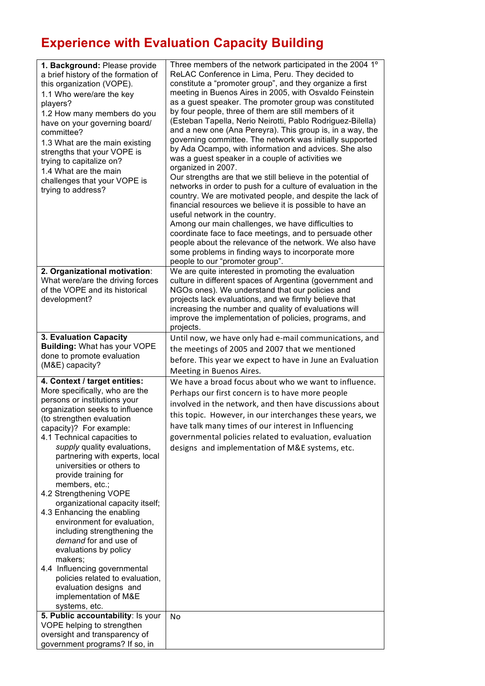## **Experience with Evaluation Capacity Building**

| 1. Background: Please provide<br>a brief history of the formation of<br>this organization (VOPE).<br>1.1 Who were/are the key<br>players?<br>1.2 How many members do you<br>have on your governing board/<br>committee?<br>1.3 What are the main existing<br>strengths that your VOPE is<br>trying to capitalize on?<br>1.4 What are the main<br>challenges that your VOPE is<br>trying to address?                                                                                                                                                                                                                                                                                                                            | Three members of the network participated in the 2004 1°<br>ReLAC Conference in Lima, Peru. They decided to<br>constitute a "promoter group", and they organize a first<br>meeting in Buenos Aires in 2005, with Osvaldo Feinstein<br>as a guest speaker. The promoter group was constituted<br>by four people, three of them are still members of it<br>(Esteban Tapella, Nerio Neirotti, Pablo Rodriguez-Bilella)<br>and a new one (Ana Pereyra). This group is, in a way, the<br>governing committee. The network was initially supported<br>by Ada Ocampo, with information and advices. She also<br>was a guest speaker in a couple of activities we<br>organized in 2007.<br>Our strengths are that we still believe in the potential of<br>networks in order to push for a culture of evaluation in the<br>country. We are motivated people, and despite the lack of<br>financial resources we believe it is possible to have an<br>useful network in the country.<br>Among our main challenges, we have difficulties to<br>coordinate face to face meetings, and to persuade other<br>people about the relevance of the network. We also have<br>some problems in finding ways to incorporate more<br>people to our "promoter group".<br>We are quite interested in promoting the evaluation |
|--------------------------------------------------------------------------------------------------------------------------------------------------------------------------------------------------------------------------------------------------------------------------------------------------------------------------------------------------------------------------------------------------------------------------------------------------------------------------------------------------------------------------------------------------------------------------------------------------------------------------------------------------------------------------------------------------------------------------------|------------------------------------------------------------------------------------------------------------------------------------------------------------------------------------------------------------------------------------------------------------------------------------------------------------------------------------------------------------------------------------------------------------------------------------------------------------------------------------------------------------------------------------------------------------------------------------------------------------------------------------------------------------------------------------------------------------------------------------------------------------------------------------------------------------------------------------------------------------------------------------------------------------------------------------------------------------------------------------------------------------------------------------------------------------------------------------------------------------------------------------------------------------------------------------------------------------------------------------------------------------------------------------------------------|
| 2. Organizational motivation:<br>What were/are the driving forces<br>of the VOPE and its historical<br>development?                                                                                                                                                                                                                                                                                                                                                                                                                                                                                                                                                                                                            | culture in different spaces of Argentina (government and<br>NGOs ones). We understand that our policies and<br>projects lack evaluations, and we firmly believe that<br>increasing the number and quality of evaluations will<br>improve the implementation of policies, programs, and<br>projects.                                                                                                                                                                                                                                                                                                                                                                                                                                                                                                                                                                                                                                                                                                                                                                                                                                                                                                                                                                                                  |
| 3. Evaluation Capacity<br><b>Building: What has your VOPE</b><br>done to promote evaluation<br>(M&E) capacity?                                                                                                                                                                                                                                                                                                                                                                                                                                                                                                                                                                                                                 | Until now, we have only had e-mail communications, and<br>the meetings of 2005 and 2007 that we mentioned<br>before. This year we expect to have in June an Evaluation<br>Meeting in Buenos Aires.                                                                                                                                                                                                                                                                                                                                                                                                                                                                                                                                                                                                                                                                                                                                                                                                                                                                                                                                                                                                                                                                                                   |
| 4. Context / target entities:<br>More specifically, who are the<br>persons or institutions your<br>organization seeks to influence<br>(to strengthen evaluation<br>capacity)? For example:<br>4.1 Technical capacities to<br>supply quality evaluations,<br>partnering with experts, local<br>universities or others to<br>provide training for<br>members, etc.;<br>4.2 Strengthening VOPE<br>organizational capacity itself;<br>4.3 Enhancing the enabling<br>environment for evaluation,<br>including strengthening the<br>demand for and use of<br>evaluations by policy<br>makers;<br>4.4 Influencing governmental<br>policies related to evaluation,<br>evaluation designs and<br>implementation of M&E<br>systems, etc. | We have a broad focus about who we want to influence.<br>Perhaps our first concern is to have more people<br>involved in the network, and then have discussions about<br>this topic. However, in our interchanges these years, we<br>have talk many times of our interest in Influencing<br>governmental policies related to evaluation, evaluation<br>designs and implementation of M&E systems, etc.                                                                                                                                                                                                                                                                                                                                                                                                                                                                                                                                                                                                                                                                                                                                                                                                                                                                                               |
| 5. Public accountability: Is your<br>VOPE helping to strengthen<br>oversight and transparency of<br>government programs? If so, in                                                                                                                                                                                                                                                                                                                                                                                                                                                                                                                                                                                             | No                                                                                                                                                                                                                                                                                                                                                                                                                                                                                                                                                                                                                                                                                                                                                                                                                                                                                                                                                                                                                                                                                                                                                                                                                                                                                                   |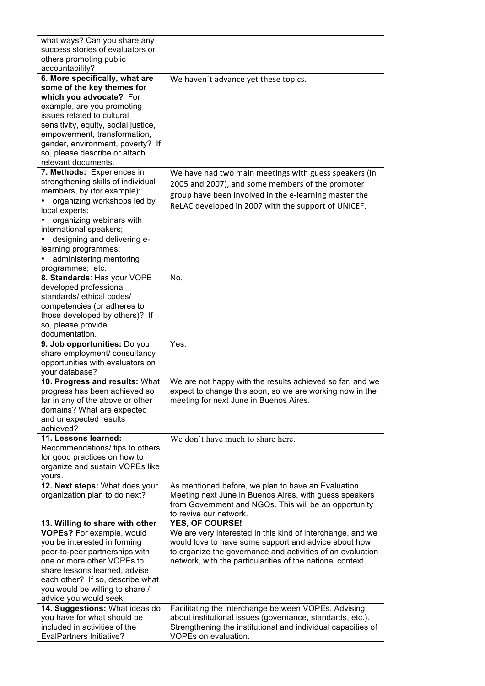| what ways? Can you share any                                        |                                                                                      |
|---------------------------------------------------------------------|--------------------------------------------------------------------------------------|
| success stories of evaluators or                                    |                                                                                      |
| others promoting public                                             |                                                                                      |
| accountability?                                                     |                                                                                      |
| 6. More specifically, what are                                      | We haven't advance yet these topics.                                                 |
| some of the key themes for                                          |                                                                                      |
| which you advocate? For                                             |                                                                                      |
| example, are you promoting                                          |                                                                                      |
| issues related to cultural                                          |                                                                                      |
| sensitivity, equity, social justice,                                |                                                                                      |
| empowerment, transformation,                                        |                                                                                      |
| gender, environment, poverty? If                                    |                                                                                      |
| so, please describe or attach                                       |                                                                                      |
| relevant documents.                                                 |                                                                                      |
| 7. Methods: Experiences in                                          | We have had two main meetings with guess speakers (in                                |
| strengthening skills of individual                                  | 2005 and 2007), and some members of the promoter                                     |
| members, by (for example):                                          | group have been involved in the e-learning master the                                |
| organizing workshops led by                                         |                                                                                      |
| local experts;                                                      | ReLAC developed in 2007 with the support of UNICEF.                                  |
| organizing webinars with                                            |                                                                                      |
| international speakers;                                             |                                                                                      |
| designing and delivering e-                                         |                                                                                      |
| learning programmes;                                                |                                                                                      |
| administering mentoring                                             |                                                                                      |
| programmes; etc.                                                    |                                                                                      |
| 8. Standards: Has your VOPE                                         | No.                                                                                  |
| developed professional                                              |                                                                                      |
| standards/ethical codes/                                            |                                                                                      |
| competencies (or adheres to                                         |                                                                                      |
| those developed by others)? If                                      |                                                                                      |
| so, please provide                                                  |                                                                                      |
| documentation.                                                      |                                                                                      |
|                                                                     |                                                                                      |
| 9. Job opportunities: Do you                                        | Yes.                                                                                 |
| share employment/ consultancy                                       |                                                                                      |
| opportunities with evaluators on                                    |                                                                                      |
| your database?                                                      |                                                                                      |
| 10. Progress and results: What                                      | We are not happy with the results achieved so far, and we                            |
| progress has been achieved so                                       | expect to change this soon, so we are working now in the                             |
| far in any of the above or other                                    | meeting for next June in Buenos Aires.                                               |
| domains? What are expected                                          |                                                                                      |
| and unexpected results                                              |                                                                                      |
| achieved?                                                           |                                                                                      |
| 11. Lessons learned:                                                | We don't have much to share here.                                                    |
| Recommendations/ tips to others                                     |                                                                                      |
| for good practices on how to                                        |                                                                                      |
| organize and sustain VOPEs like                                     |                                                                                      |
| yours.                                                              |                                                                                      |
| 12. Next steps: What does your                                      | As mentioned before, we plan to have an Evaluation                                   |
| organization plan to do next?                                       | Meeting next June in Buenos Aires, with guess speakers                               |
|                                                                     | from Government and NGOs. This will be an opportunity<br>to revive our network.      |
|                                                                     | <b>YES, OF COURSE!</b>                                                               |
| 13. Willing to share with other<br><b>VOPEs?</b> For example, would | We are very interested in this kind of interchange, and we                           |
| you be interested in forming                                        | would love to have some support and advice about how                                 |
| peer-to-peer partnerships with                                      | to organize the governance and activities of an evaluation                           |
| one or more other VOPEs to                                          | network, with the particularities of the national context.                           |
| share lessons learned, advise                                       |                                                                                      |
| each other? If so, describe what                                    |                                                                                      |
| you would be willing to share /                                     |                                                                                      |
| advice you would seek.                                              |                                                                                      |
| 14. Suggestions: What ideas do                                      | Facilitating the interchange between VOPEs. Advising                                 |
| you have for what should be                                         | about institutional issues (governance, standards, etc.).                            |
| included in activities of the<br><b>EvalPartners Initiative?</b>    | Strengthening the institutional and individual capacities of<br>VOPEs on evaluation. |